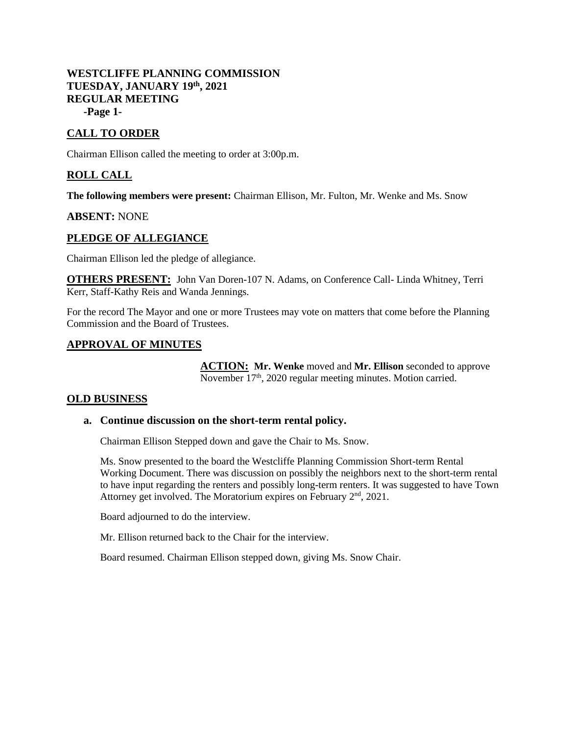## **WESTCLIFFE PLANNING COMMISSION TUESDAY, JANUARY 19th, 2021 REGULAR MEETING -Page 1-**

# **CALL TO ORDER**

Chairman Ellison called the meeting to order at 3:00p.m.

## **ROLL CALL**

**The following members were present:** Chairman Ellison, Mr. Fulton, Mr. Wenke and Ms. Snow

#### **ABSENT:** NONE

### **PLEDGE OF ALLEGIANCE**

Chairman Ellison led the pledge of allegiance.

**OTHERS PRESENT:** John Van Doren-107 N. Adams, on Conference Call- Linda Whitney, Terri Kerr, Staff-Kathy Reis and Wanda Jennings.

For the record The Mayor and one or more Trustees may vote on matters that come before the Planning Commission and the Board of Trustees.

### **APPROVAL OF MINUTES**

**ACTION: Mr. Wenke** moved and **Mr. Ellison** seconded to approve November  $17<sup>th</sup>$ , 2020 regular meeting minutes. Motion carried.

### **OLD BUSINESS**

#### **a. Continue discussion on the short-term rental policy.**

Chairman Ellison Stepped down and gave the Chair to Ms. Snow.

Ms. Snow presented to the board the Westcliffe Planning Commission Short-term Rental Working Document. There was discussion on possibly the neighbors next to the short-term rental to have input regarding the renters and possibly long-term renters. It was suggested to have Town Attorney get involved. The Moratorium expires on February  $2<sup>nd</sup>$ , 2021.

Board adjourned to do the interview.

Mr. Ellison returned back to the Chair for the interview.

Board resumed. Chairman Ellison stepped down, giving Ms. Snow Chair.